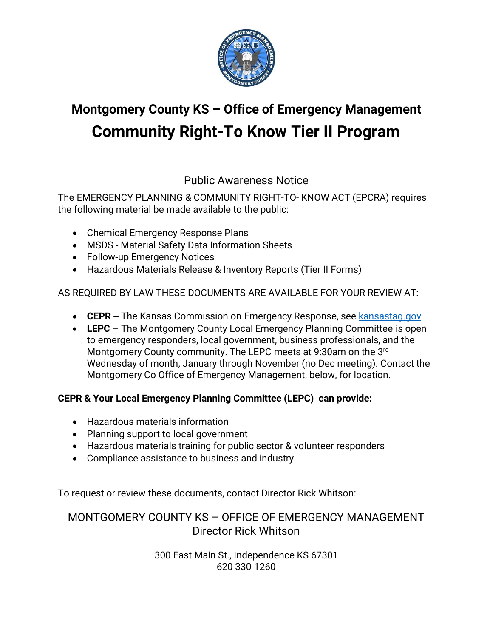

# **Montgomery County KS – Office of Emergency Management Community Right-To Know Tier II Program**

## Public Awareness Notice

The EMERGENCY PLANNING & COMMUNITY RIGHT-TO- KNOW ACT (EPCRA) requires the following material be made available to the public:

- Chemical Emergency Response Plans
- MSDS Material Safety Data Information Sheets
- Follow-up Emergency Notices
- Hazardous Materials Release & Inventory Reports (Tier II Forms)

#### AS REQUIRED BY LAW THESE DOCUMENTS ARE AVAILABLE FOR YOUR REVIEW AT:

- **CEPR** -- The Kansas Commission on Emergency Response, see [kansastag.gov](https://www.kansastag.gov/kdem.asp?PageID=408)
- **LEPC** The Montgomery County Local Emergency Planning Committee is open to emergency responders, local government, business professionals, and the Montgomery County community. The LEPC meets at 9:30am on the 3rd Wednesday of month, January through November (no Dec meeting). Contact the Montgomery Co Office of Emergency Management, below, for location.

#### **CEPR & Your Local Emergency Planning Committee (LEPC) can provide:**

- Hazardous materials information
- Planning support to local government
- Hazardous materials training for public sector & volunteer responders
- Compliance assistance to business and industry

To request or review these documents, contact Director Rick Whitson:

### MONTGOMERY COUNTY KS – OFFICE OF EMERGENCY MANAGEMENT Director Rick Whitson

300 East Main St., Independence KS 67301 620 330-1260